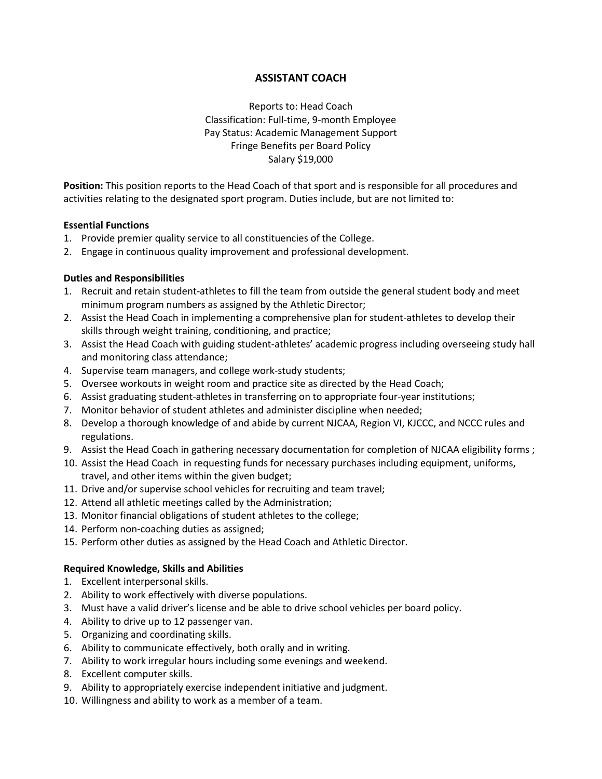# **ASSISTANT COACH**

Reports to: Head Coach Classification: Full-time, 9-month Employee Pay Status: Academic Management Support Fringe Benefits per Board Policy Salary \$19,000

**Position:** This position reports to the Head Coach of that sport and is responsible for all procedures and activities relating to the designated sport program. Duties include, but are not limited to:

### **Essential Functions**

- 1. Provide premier quality service to all constituencies of the College.
- 2. Engage in continuous quality improvement and professional development.

### **Duties and Responsibilities**

- 1. Recruit and retain student-athletes to fill the team from outside the general student body and meet minimum program numbers as assigned by the Athletic Director;
- 2. Assist the Head Coach in implementing a comprehensive plan for student-athletes to develop their skills through weight training, conditioning, and practice;
- 3. Assist the Head Coach with guiding student-athletes' academic progress including overseeing study hall and monitoring class attendance;
- 4. Supervise team managers, and college work-study students;
- 5. Oversee workouts in weight room and practice site as directed by the Head Coach;
- 6. Assist graduating student-athletes in transferring on to appropriate four-year institutions;
- 7. Monitor behavior of student athletes and administer discipline when needed;
- 8. Develop a thorough knowledge of and abide by current NJCAA, Region VI, KJCCC, and NCCC rules and regulations.
- 9. Assist the Head Coach in gathering necessary documentation for completion of NJCAA eligibility forms ;
- 10. Assist the Head Coach in requesting funds for necessary purchases including equipment, uniforms, travel, and other items within the given budget;
- 11. Drive and/or supervise school vehicles for recruiting and team travel;
- 12. Attend all athletic meetings called by the Administration;
- 13. Monitor financial obligations of student athletes to the college;
- 14. Perform non-coaching duties as assigned;
- 15. Perform other duties as assigned by the Head Coach and Athletic Director.

#### **Required Knowledge, Skills and Abilities**

- 1. Excellent interpersonal skills.
- 2. Ability to work effectively with diverse populations.
- 3. Must have a valid driver's license and be able to drive school vehicles per board policy.
- 4. Ability to drive up to 12 passenger van.
- 5. Organizing and coordinating skills.
- 6. Ability to communicate effectively, both orally and in writing.
- 7. Ability to work irregular hours including some evenings and weekend.
- 8. Excellent computer skills.
- 9. Ability to appropriately exercise independent initiative and judgment.
- 10. Willingness and ability to work as a member of a team.